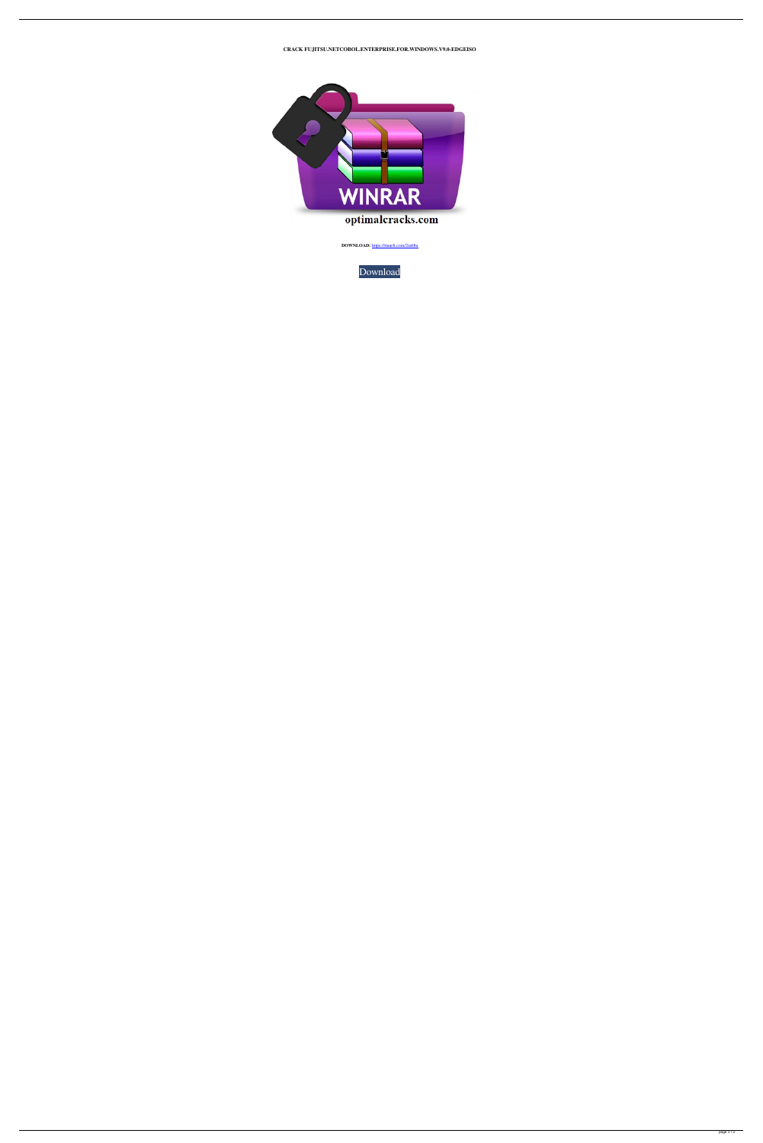**CRACK FUJITSU.NETCOBOL.ENTERPRISE.FOR.WINDOWS.V9.0-EDGEISO**



**DOWNLOAD:** <https://tinurli.com/2in68u>